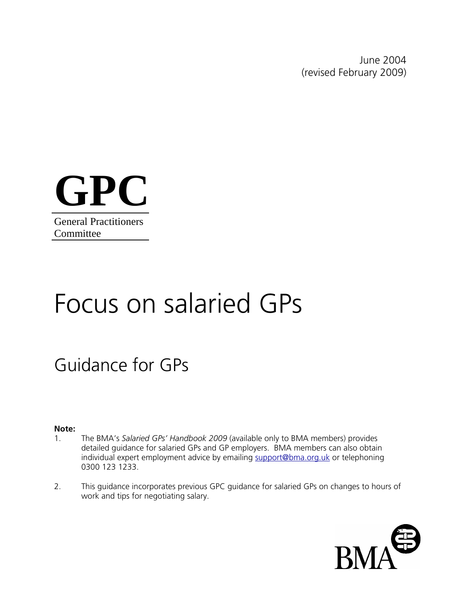June 2004 (revised February 2009)



# Focus on salaried GPs

# Guidance for GPs

#### **Note:**

- 1. The BMA's *Salaried GPs' Handbook 2009* (available only to BMA members) provides detailed guidance for salaried GPs and GP employers. BMA members can also obtain individual expert employment advice by emailing [support@bma.org.uk](mailto:support@bma.org.uk) or telephoning 0300 123 1233.
- 2. This guidance incorporates previous GPC guidance for salaried GPs on changes to hours of work and tips for negotiating salary.

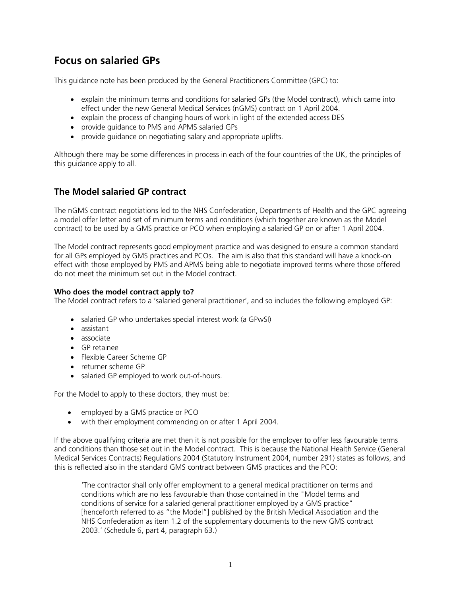# **Focus on salaried GPs**

This guidance note has been produced by the General Practitioners Committee (GPC) to:

- explain the minimum terms and conditions for salaried GPs (the Model contract), which came into effect under the new General Medical Services (nGMS) contract on 1 April 2004.
- explain the process of changing hours of work in light of the extended access DES
- provide guidance to PMS and APMS salaried GPs
- provide guidance on negotiating salary and appropriate uplifts.

Although there may be some differences in process in each of the four countries of the UK, the principles of this guidance apply to all.

# **The Model salaried GP contract**

The nGMS contract negotiations led to the NHS Confederation, Departments of Health and the GPC agreeing a model offer letter and set of minimum terms and conditions (which together are known as the Model contract) to be used by a GMS practice or PCO when employing a salaried GP on or after 1 April 2004.

The Model contract represents good employment practice and was designed to ensure a common standard for all GPs employed by GMS practices and PCOs. The aim is also that this standard will have a knock-on effect with those employed by PMS and APMS being able to negotiate improved terms where those offered do not meet the minimum set out in the Model contract.

#### **Who does the model contract apply to?**

The Model contract refers to a 'salaried general practitioner', and so includes the following employed GP:

- salaried GP who undertakes special interest work (a GPwSI)
- assistant
- associate
- GP retainee
- Flexible Career Scheme GP
- returner scheme GP
- salaried GP employed to work out-of-hours.

For the Model to apply to these doctors, they must be:

- employed by a GMS practice or PCO
- with their employment commencing on or after 1 April 2004.

If the above qualifying criteria are met then it is not possible for the employer to offer less favourable terms and conditions than those set out in the Model contract. This is because the National Health Service (General Medical Services Contracts) Regulations 2004 (Statutory Instrument 2004, number 291) states as follows, and this is reflected also in the standard GMS contract between GMS practices and the PCO:

'The contractor shall only offer employment to a general medical practitioner on terms and conditions which are no less favourable than those contained in the "Model terms and conditions of service for a salaried general practitioner employed by a GMS practice" [henceforth referred to as "the Model"] published by the British Medical Association and the NHS Confederation as item 1.2 of the supplementary documents to the new GMS contract 2003.' (Schedule 6, part 4, paragraph 63.)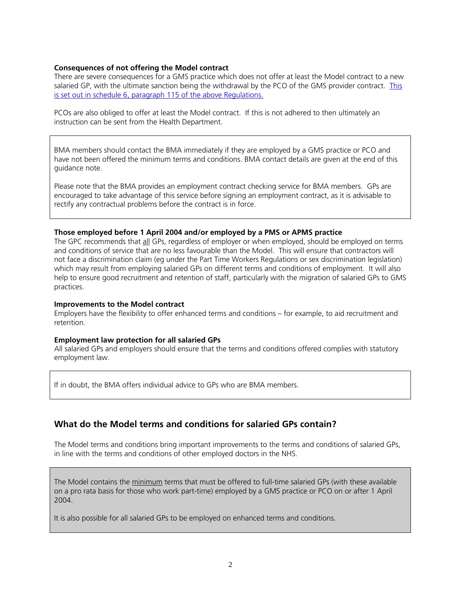#### **Consequences of not offering the Model contract**

There are severe consequences for a GMS practice which does not offer at least the Model contract to a new salaried GP, with the ultimate sanction being the withdrawal by the PCO of the GMS provider contract. This is set out in schedule 6, paragraph 115 of the above Regulations.

PCOs are also obliged to offer at least the Model contract. If this is not adhered to then ultimately an instruction can be sent from the Health Department.

BMA members should contact the BMA immediately if they are employed by a GMS practice or PCO and have not been offered the minimum terms and conditions. BMA contact details are given at the end of this guidance note.

Please note that the BMA provides an employment contract checking service for BMA members. GPs are encouraged to take advantage of this service before signing an employment contract, as it is advisable to rectify any contractual problems before the contract is in force.

#### **Those employed before 1 April 2004 and/or employed by a PMS or APMS practice**

The GPC recommends that all GPs, regardless of employer or when employed, should be employed on terms and conditions of service that are no less favourable than the Model. This will ensure that contractors will not face a discrimination claim (eg under the Part Time Workers Regulations or sex discrimination legislation) which may result from employing salaried GPs on different terms and conditions of employment. It will also help to ensure good recruitment and retention of staff, particularly with the migration of salaried GPs to GMS practices.

#### **Improvements to the Model contract**

Employers have the flexibility to offer enhanced terms and conditions – for example, to aid recruitment and retention.

#### **Employment law protection for all salaried GPs**

All salaried GPs and employers should ensure that the terms and conditions offered complies with statutory employment law.

If in doubt, the BMA offers individual advice to GPs who are BMA members.

#### **What do the Model terms and conditions for salaried GPs contain?**

The Model terms and conditions bring important improvements to the terms and conditions of salaried GPs, in line with the terms and conditions of other employed doctors in the NHS.

The Model contains the minimum terms that must be offered to full-time salaried GPs (with these available on a pro rata basis for those who work part-time) employed by a GMS practice or PCO on or after 1 April 2004.

It is also possible for all salaried GPs to be employed on enhanced terms and conditions.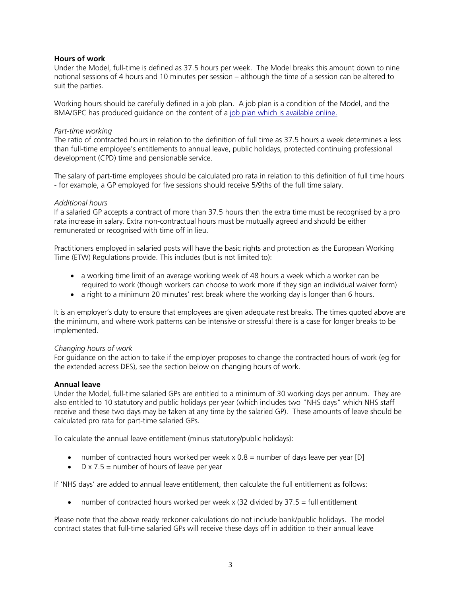#### **Hours of work**

Under the Model, full-time is defined as 37.5 hours per week. The Model breaks this amount down to nine notional sessions of 4 hours and 10 minutes per session – although the time of a session can be altered to suit the parties.

Working hours should be carefully defined in a job plan. A job plan is a condition of the Model, and the BMA/GPC has produced quidance on the content of a [job plan which is available online.](http://www.bma.org.uk/employmentandcontracts/employmentcontracts/salaried_gps/jobplannov05.jsp)

#### *Part-time working*

The ratio of contracted hours in relation to the definition of full time as 37.5 hours a week determines a less than full-time employee's entitlements to annual leave, public holidays, protected continuing professional development (CPD) time and pensionable service.

The salary of part-time employees should be calculated pro rata in relation to this definition of full time hours - for example, a GP employed for five sessions should receive 5/9ths of the full time salary.

#### *Additional hours*

If a salaried GP accepts a contract of more than 37.5 hours then the extra time must be recognised by a pro rata increase in salary. Extra non-contractual hours must be mutually agreed and should be either remunerated or recognised with time off in lieu.

Practitioners employed in salaried posts will have the basic rights and protection as the European Working Time (ETW) Regulations provide. This includes (but is not limited to):

- a working time limit of an average working week of 48 hours a week which a worker can be required to work (though workers can choose to work more if they sign an individual waiver form)
- a right to a minimum 20 minutes' rest break where the working day is longer than 6 hours.

It is an employer's duty to ensure that employees are given adequate rest breaks. The times quoted above are the minimum, and where work patterns can be intensive or stressful there is a case for longer breaks to be implemented.

#### *Changing hours of work*

For guidance on the action to take if the employer proposes to change the contracted hours of work (eg for the extended access DES), see the section below on changing hours of work.

#### **Annual leave**

Under the Model, full-time salaried GPs are entitled to a minimum of 30 working days per annum. They are also entitled to 10 statutory and public holidays per year (which includes two "NHS days" which NHS staff receive and these two days may be taken at any time by the salaried GP). These amounts of leave should be calculated pro rata for part-time salaried GPs.

To calculate the annual leave entitlement (minus statutory/public holidays):

- number of contracted hours worked per week  $x \cdot 0.8$  = number of days leave per year [D]
- $D \times 7.5$  = number of hours of leave per year

If 'NHS days' are added to annual leave entitlement, then calculate the full entitlement as follows:

• number of contracted hours worked per week  $x$  (32 divided by 37.5 = full entitlement

Please note that the above ready reckoner calculations do not include bank/public holidays. The model contract states that full-time salaried GPs will receive these days off in addition to their annual leave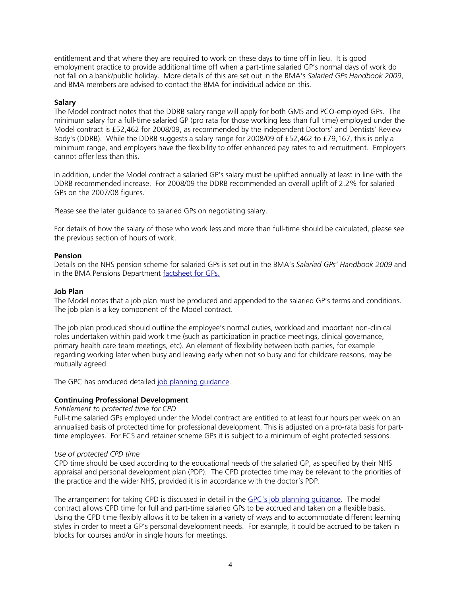entitlement and that where they are required to work on these days to time off in lieu. It is good employment practice to provide additional time off when a part-time salaried GP's normal days of work do not fall on a bank/public holiday. More details of this are set out in the BMA's *Salaried GPs Handbook 2009*, and BMA members are advised to contact the BMA for individual advice on this.

#### **Salary**

The Model contract notes that the DDRB salary range will apply for both GMS and PCO-employed GPs. The minimum salary for a full-time salaried GP (pro rata for those working less than full time) employed under the Model contract is £52,462 for 2008/09, as recommended by the independent Doctors' and Dentists' Review Body's (DDRB). While the DDRB suggests a salary range for 2008/09 of £52,462 to £79,167, this is only a minimum range, and employers have the flexibility to offer enhanced pay rates to aid recruitment. Employers cannot offer less than this.

In addition, under the Model contract a salaried GP's salary must be uplifted annually at least in line with the DDRB recommended increase. For 2008/09 the DDRB recommended an overall uplift of 2.2% for salaried GPs on the 2007/08 figures.

Please see the later guidance to salaried GPs on negotiating salary.

For details of how the salary of those who work less and more than full-time should be calculated, please see the previous section of hours of work.

#### **Pension**

Details on the NHS pension scheme for salaried GPs is set out in the BMA's *Salaried GPs' Handbook 2009* and in the BMA Pensions Department [factsheet for GPs.](http://www.bma.org.uk/pensions)

#### **Job Plan**

The Model notes that a job plan must be produced and appended to the salaried GP's terms and conditions. The job plan is a key component of the Model contract.

The job plan produced should outline the employee's normal duties, workload and important non-clinical roles undertaken within paid work time (such as participation in practice meetings, clinical governance, primary health care team meetings, etc). An element of flexibility between both parties, for example regarding working later when busy and leaving early when not so busy and for childcare reasons, may be mutually agreed.

The GPC has produced detailed [job planning guidance](http://www.bma.org.uk/employmentandcontracts/employmentcontracts/salaried_gps/jobplannov05.jsp).

#### **Continuing Professional Development**

#### *Entitlement to protected time for CPD*

Full-time salaried GPs employed under the Model contract are entitled to at least four hours per week on an annualised basis of protected time for professional development. This is adjusted on a pro-rata basis for parttime employees. For FCS and retainer scheme GPs it is subject to a minimum of eight protected sessions.

#### *Use of protected CPD time*

CPD time should be used according to the educational needs of the salaried GP, as specified by their NHS appraisal and personal development plan (PDP). The CPD protected time may be relevant to the priorities of the practice and the wider NHS, provided it is in accordance with the doctor's PDP.

The arrangement for taking CPD is discussed in detail in the GPC's job planning quidance. The model contract allows CPD time for full and part-time salaried GPs to be accrued and taken on a flexible basis. Using the CPD time flexibly allows it to be taken in a variety of ways and to accommodate different learning styles in order to meet a GP's personal development needs. For example, it could be accrued to be taken in blocks for courses and/or in single hours for meetings.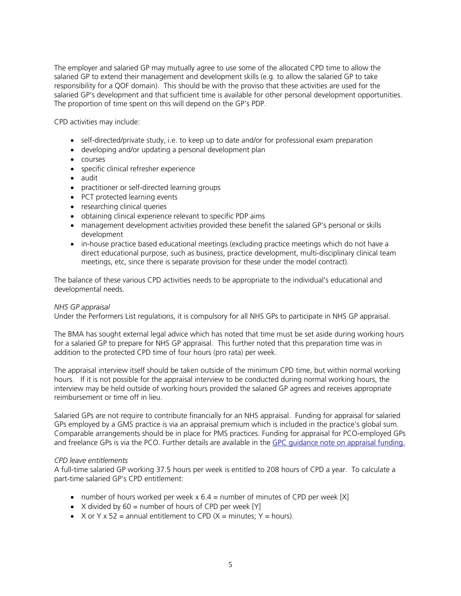The employer and salaried GP may mutually agree to use some of the allocated CPD time to allow the salaried GP to extend their management and development skills (e.g. to allow the salaried GP to take responsibility for a QOF domain). This should be with the proviso that these activities are used for the salaried GP's development and that sufficient time is available for other personal development opportunities. The proportion of time spent on this will depend on the GP's PDP.

CPD activities may include:

- self-directed/private study, i.e. to keep up to date and/or for professional exam preparation
- developing and/or updating a personal development plan
- courses
- specific clinical refresher experience
- audit
- practitioner or self-directed learning groups
- PCT protected learning events
- researching clinical queries
- obtaining clinical experience relevant to specific PDP aims
- management development activities provided these benefit the salaried GP's personal or skills development
- in-house practice based educational meetings (excluding practice meetings which do not have a direct educational purpose, such as business, practice development, multi-disciplinary clinical team meetings, etc, since there is separate provision for these under the model contract).

The balance of these various CPD activities needs to be appropriate to the individual's educational and developmental needs.

#### *NHS GP appraisal*

Under the Performers List regulations, it is compulsory for all NHS GPs to participate in NHS GP appraisal.

The BMA has sought external legal advice which has noted that time must be set aside during working hours for a salaried GP to prepare for NHS GP appraisal. This further noted that this preparation time was in addition to the protected CPD time of four hours (pro rata) per week.

The appraisal interview itself should be taken outside of the minimum CPD time, but within normal working hours. If it is not possible for the appraisal interview to be conducted during normal working hours, the interview may be held outside of working hours provided the salaried GP agrees and receives appropriate reimbursement or time off in lieu.

Salaried GPs are not require to contribute financially for an NHS appraisal. Funding for appraisal for salaried GPs employed by a GMS practice is via an appraisal premium which is included in the practice's global sum. Comparable arrangements should be in place for PMS practices. Funding for appraisal for PCO-employed GPs and freelance GPs is via the PCO. Further details are available in the [GPC guidance note on appraisal funding.](http://www.bma.org.uk/ap.nsf/Content/appraisfund031104)

#### *CPD leave entitlements*

A full-time salaried GP working 37.5 hours per week is entitled to 208 hours of CPD a year. To calculate a part-time salaried GP's CPD entitlement:

- number of hours worked per week  $x \cdot 6.4$  = number of minutes of CPD per week [X]
- X divided by  $60 =$  number of hours of CPD per week  $[Y]$
- $X$  or  $Y \times 52 =$  annual entitlement to CPD ( $X =$  minutes;  $Y =$  hours).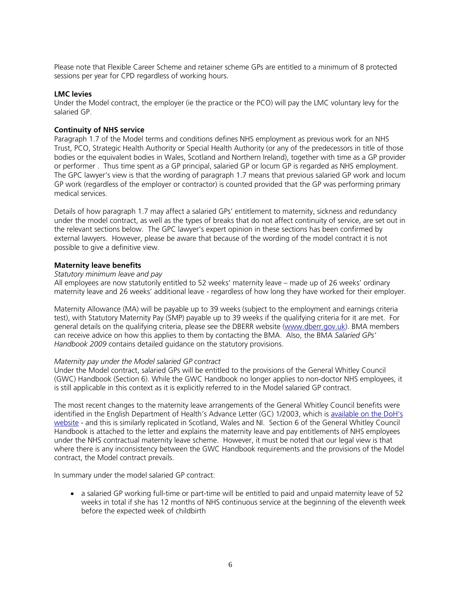Please note that Flexible Career Scheme and retainer scheme GPs are entitled to a minimum of 8 protected sessions per year for CPD regardless of working hours.

#### **LMC levies**

Under the Model contract, the employer (ie the practice or the PCO) will pay the LMC voluntary levy for the salaried GP.

#### **Continuity of NHS service**

Paragraph 1.7 of the Model terms and conditions defines NHS employment as previous work for an NHS Trust, PCO, Strategic Health Authority or Special Health Authority (or any of the predecessors in title of those bodies or the equivalent bodies in Wales, Scotland and Northern Ireland), together with time as a GP provider or performer . Thus time spent as a GP principal, salaried GP or locum GP is regarded as NHS employment. The GPC lawyer's view is that the wording of paragraph 1.7 means that previous salaried GP work and locum GP work (regardless of the employer or contractor) is counted provided that the GP was performing primary medical services.

Details of how paragraph 1.7 may affect a salaried GPs' entitlement to maternity, sickness and redundancy under the model contract, as well as the types of breaks that do not affect continuity of service, are set out in the relevant sections below. The GPC lawyer's expert opinion in these sections has been confirmed by external lawyers. However, please be aware that because of the wording of the model contract it is not possible to give a definitive view.

#### **Maternity leave benefits**

#### *Statutory minimum leave and pay*

All employees are now statutorily entitled to 52 weeks' maternity leave – made up of 26 weeks' ordinary maternity leave and 26 weeks' additional leave - regardless of how long they have worked for their employer.

Maternity Allowance (MA) will be payable up to 39 weeks (subject to the employment and earnings criteria test), with Statutory Maternity Pay (SMP) payable up to 39 weeks if the qualifying criteria for it are met. For general details on the qualifying criteria, please see the DBERR website [\(www.dberr.gov.uk\)](http://www.dberr.gov.uk/). BMA members can receive advice on how this applies to them by contacting the BMA. Also, the BMA *Salaried GPs' Handbook 2009* contains detailed guidance on the statutory provisions.

#### *Maternity pay under the Model salaried GP contract*

Under the Model contract, salaried GPs will be entitled to the provisions of the General Whitley Council (GWC) Handbook (Section 6). While the GWC Handbook no longer applies to non-doctor NHS employees, it is still applicable in this context as it is explicitly referred to in the Model salaried GP contract.

The most recent changes to the maternity leave arrangements of the General Whitley Council benefits were identified in the English Department of Health's Advance Letter (GC) 1/2003, which is available on the DoH's [website](http://www.dh.gov.uk/en/Publicationsandstatistics/Lettersandcirculars/Advancedletters/DH_4062467) - and this is similarly replicated in Scotland, Wales and NI. Section 6 of the General Whitley Council Handbook is attached to the letter and explains the maternity leave and pay entitlements of NHS employees under the NHS contractual maternity leave scheme. However, it must be noted that our legal view is that where there is any inconsistency between the GWC Handbook requirements and the provisions of the Model contract, the Model contract prevails.

In summary under the model salaried GP contract:

• a salaried GP working full-time or part-time will be entitled to paid and unpaid maternity leave of 52 weeks in total if she has 12 months of NHS continuous service at the beginning of the eleventh week before the expected week of childbirth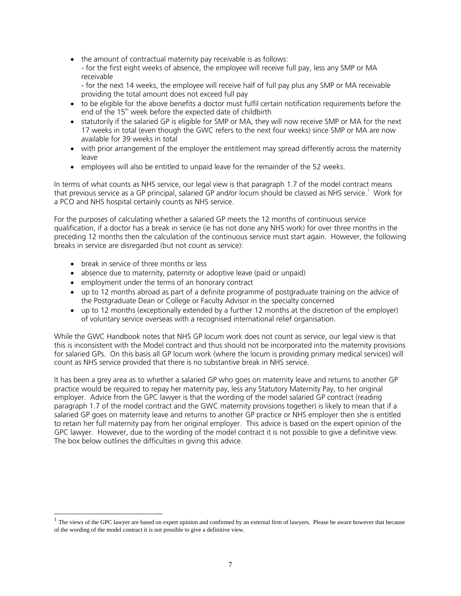- the amount of contractual maternity pay receivable is as follows:
	- for the first eight weeks of absence, the employee will receive full pay, less any SMP or MA receivable
	- for the next 14 weeks, the employee will receive half of full pay plus any SMP or MA receivable providing the total amount does not exceed full pay
- to be eligible for the above benefits a doctor must fulfil certain notification requirements before the end of the 15<sup>th</sup> week before the expected date of childbirth
- statutorily if the salaried GP is eligible for SMP or MA, they will now receive SMP or MA for the next 17 weeks in total (even though the GWC refers to the next four weeks) since SMP or MA are now available for 39 weeks in total
- with prior arrangement of the employer the entitlement may spread differently across the maternity leave
- employees will also be entitled to unpaid leave for the remainder of the 52 weeks.

In terms of what counts as NHS service, our legal view is that paragraph 1.7 of the model contract means thatprevious service as a GP principal, salaried GP and/or locum should be classed as NHS service.<sup>1</sup> Work for a PCO and NHS hospital certainly counts as NHS service.

For the purposes of calculating whether a salaried GP meets the 12 months of continuous service qualification, if a doctor has a break in service (ie has not done any NHS work) for over three months in the preceding 12 months then the calculation of the continuous service must start again. However, the following breaks in service are disregarded (but not count as service):

- break in service of three months or less
- absence due to maternity, paternity or adoptive leave (paid or unpaid)
- employment under the terms of an honorary contract
- up to 12 months abroad as part of a definite programme of postgraduate training on the advice of the Postgraduate Dean or College or Faculty Advisor in the specialty concerned
- up to 12 months (exceptionally extended by a further 12 months at the discretion of the employer) of voluntary service overseas with a recognised international relief organisation.

While the GWC Handbook notes that NHS GP locum work does not count as service, our legal view is that this is inconsistent with the Model contract and thus should not be incorporated into the maternity provisions for salaried GPs. On this basis all GP locum work (where the locum is providing primary medical services) will count as NHS service provided that there is no substantive break in NHS service.

It has been a grey area as to whether a salaried GP who goes on maternity leave and returns to another GP practice would be required to repay her maternity pay, less any Statutory Maternity Pay, to her original employer. Advice from the GPC lawyer is that the wording of the model salaried GP contract (reading paragraph 1.7 of the model contract and the GWC maternity provisions together) is likely to mean that if a salaried GP goes on maternity leave and returns to another GP practice or NHS employer then she is entitled to retain her full maternity pay from her original employer. This advice is based on the expert opinion of the GPC lawyer. However, due to the wording of the model contract it is not possible to give a definitive view. The box below outlines the difficulties in giving this advice.

<span id="page-7-0"></span> $<sup>1</sup>$  The views of the GPC lawyer are based on expert opinion and confirmed by an external firm of lawyers. Please be aware however that because</sup> of the wording of the model contract it is not possible to give a definitive view.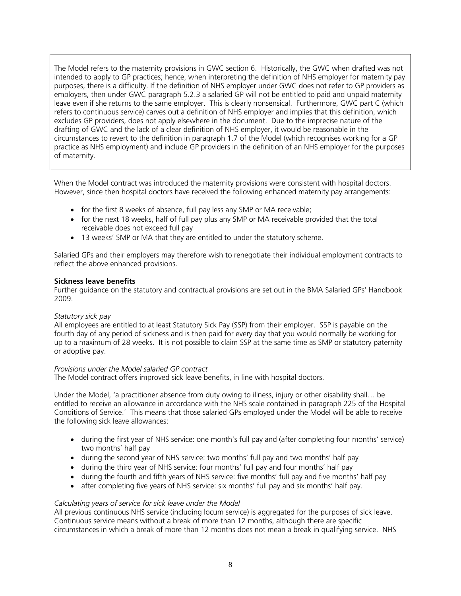The Model refers to the maternity provisions in GWC section 6. Historically, the GWC when drafted was not intended to apply to GP practices; hence, when interpreting the definition of NHS employer for maternity pay purposes, there is a difficulty. If the definition of NHS employer under GWC does not refer to GP providers as employers, then under GWC paragraph 5.2.3 a salaried GP will not be entitled to paid and unpaid maternity leave even if she returns to the same employer. This is clearly nonsensical. Furthermore, GWC part C (which refers to continuous service) carves out a definition of NHS employer and implies that this definition, which excludes GP providers, does not apply elsewhere in the document. Due to the imprecise nature of the drafting of GWC and the lack of a clear definition of NHS employer, it would be reasonable in the circumstances to revert to the definition in paragraph 1.7 of the Model (which recognises working for a GP practice as NHS employment) and include GP providers in the definition of an NHS employer for the purposes of maternity.

When the Model contract was introduced the maternity provisions were consistent with hospital doctors. However, since then hospital doctors have received the following enhanced maternity pay arrangements:

- for the first 8 weeks of absence, full pay less any SMP or MA receivable;
- for the next 18 weeks, half of full pay plus any SMP or MA receivable provided that the total receivable does not exceed full pay
- 13 weeks' SMP or MA that they are entitled to under the statutory scheme.

Salaried GPs and their employers may therefore wish to renegotiate their individual employment contracts to reflect the above enhanced provisions.

#### **Sickness leave benefits**

Further guidance on the statutory and contractual provisions are set out in the BMA Salaried GPs' Handbook 2009.

#### *Statutory sick pay*

All employees are entitled to at least Statutory Sick Pay (SSP) from their employer. SSP is payable on the fourth day of any period of sickness and is then paid for every day that you would normally be working for up to a maximum of 28 weeks. It is not possible to claim SSP at the same time as SMP or statutory paternity or adoptive pay.

#### *Provisions under the Model salaried GP contract*

The Model contract offers improved sick leave benefits, in line with hospital doctors.

Under the Model, 'a practitioner absence from duty owing to illness, injury or other disability shall… be entitled to receive an allowance in accordance with the NHS scale contained in paragraph 225 of the Hospital Conditions of Service.' This means that those salaried GPs employed under the Model will be able to receive the following sick leave allowances:

- during the first year of NHS service: one month's full pay and (after completing four months' service) two months' half pay
- during the second year of NHS service: two months' full pay and two months' half pay
- during the third year of NHS service: four months' full pay and four months' half pay
- during the fourth and fifth years of NHS service: five months' full pay and five months' half pay
- after completing five years of NHS service: six months' full pay and six months' half pay.

#### *Calculating years of service for sick leave under the Model*

All previous continuous NHS service (including locum service) is aggregated for the purposes of sick leave. Continuous service means without a break of more than 12 months, although there are specific circumstances in which a break of more than 12 months does not mean a break in qualifying service. NHS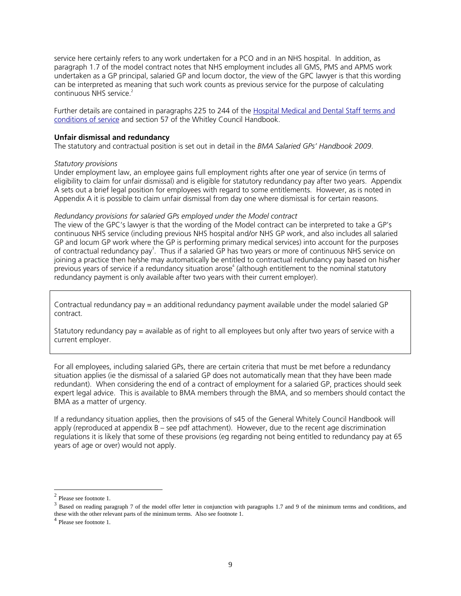service here certainly refers to any work undertaken for a PCO and in an NHS hospital. In addition, as paragraph 1.7 of the model contract notes that NHS employment includes all GMS, PMS and APMS work undertaken as a GP principal, salaried GP and locum doctor, the view of the GPC lawyer is that this wording can be interpreted as meaning that such work counts as previous service for the purpose of calculating continuous NHS service.<sup>2</sup>

Further details are contained in paragraphs 225 to 244 of the [Hospital Medical and Dental Staff terms and](http://www.dh.gov.uk/assetRoot/04/07/40/14/04074014.PDF)  [conditions of](http://www.dh.gov.uk/assetRoot/04/07/40/14/04074014.PDF) service and section 57 of the Whitley Council Handbook.

#### **Unfair dismissal and redundancy**

The statutory and contractual position is set out in detail in the *BMA Salaried GPs' Handbook 2009*.

#### *Statutory provisions*

Under employment law, an employee gains full employment rights after one year of service (in terms of eligibility to claim for unfair dismissal) and is eligible for statutory redundancy pay after two years. Appendix A sets out a brief legal position for employees with regard to some entitlements. However, as is noted in Appendix A it is possible to claim unfair dismissal from day one where dismissal is for certain reasons.

#### *Redundancy provisions for salaried GPs employed under the Model contract*

The view of the GPC's lawyer is that the wording of the Model contract can be interpreted to take a GP's continuous NHS service (including previous NHS hospital and/or NHS GP work, and also includes all salaried GP and locum GP work where the GP is performing primary medical services) into account for the purposes of contractual redundancy pay<sup>3</sup>[.](#page-9-1) Thus if a salaried GP has two years or more of continuous NHS service on joining a practice then he/she may automatically be entitled to contractual redundancy pay based on his/her previous years of service if a redundancy situation arose<sup>[4](#page-9-2)</sup> (although entitlement to the nominal statutory redundancy payment is only available after two years with their current employer).

Contractual redundancy pay = an additional redundancy payment available under the model salaried GP contract.

Statutory redundancy pay = available as of right to all employees but only after two years of service with a current employer.

For all employees, including salaried GPs, there are certain criteria that must be met before a redundancy situation applies (ie the dismissal of a salaried GP does not automatically mean that they have been made redundant). When considering the end of a contract of employment for a salaried GP, practices should seek expert legal advice. This is available to BMA members through the BMA, and so members should contact the BMA as a matter of urgency.

If a redundancy situation applies, then the provisions of s45 of the General Whitely Council Handbook will apply (reproduced at appendix B – see pdf attachment). However, due to the recent age discrimination regulations it is likely that some of these provisions (eg regarding not being entitled to redundancy pay at 65 years of age or over) would not apply.

<span id="page-9-1"></span><span id="page-9-0"></span>

<sup>&</sup>lt;sup>2</sup> Please see footnote 1.<br><sup>3</sup> Based on reading paragraph 7 of the model offer letter in conjunction with paragraphs 1.7 and 9 of the minimum terms and conditions, and these with the other relevant parts of the minimum terms. Also see footnote 1.  $^4$  Please see footnote 1.

<span id="page-9-2"></span>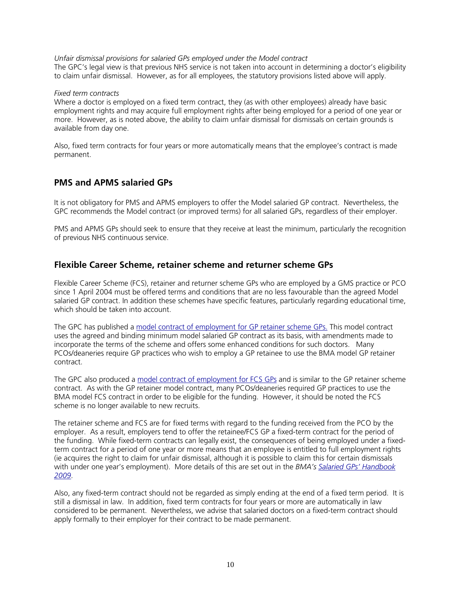*Unfair dismissal provisions for salaried GPs employed under the Model contract*  The GPC's legal view is that previous NHS service is not taken into account in determining a doctor's eligibility to claim unfair dismissal. However, as for all employees, the statutory provisions listed above will apply.

#### *Fixed term contracts*

Where a doctor is employed on a fixed term contract, they (as with other employees) already have basic employment rights and may acquire full employment rights after being employed for a period of one year or more. However, as is noted above, the ability to claim unfair dismissal for dismissals on certain grounds is available from day one.

Also, fixed term contracts for four years or more automatically means that the employee's contract is made permanent.

# **PMS and APMS salaried GPs**

It is not obligatory for PMS and APMS employers to offer the Model salaried GP contract. Nevertheless, the GPC recommends the Model contract (or improved terms) for all salaried GPs, regardless of their employer.

PMS and APMS GPs should seek to ensure that they receive at least the minimum, particularly the recognition of previous NHS continuous service.

# **Flexible Career Scheme, retainer scheme and returner scheme GPs**

Flexible Career Scheme (FCS), retainer and returner scheme GPs who are employed by a GMS practice or PCO since 1 April 2004 must be offered terms and conditions that are no less favourable than the agreed Model salaried GP contract. In addition these schemes have specific features, particularly regarding educational time, which should be taken into account.

The GPC has published a model contract [of employment for GP retainer scheme GPs.](http://www.bma.org.uk/employmentandcontracts/employmentcontracts/salaried_gps/contractretainerGP.jsp) This model contract uses the agreed and binding minimum model salaried GP contract as its basis, with amendments made to incorporate the terms of the scheme and offers some enhanced conditions for such doctors. Many PCOs/deaneries require GP practices who wish to employ a GP retainee to use the BMA model GP retainer contract.

The GPC also produced a model contract [of employment for FCS GPs](http://www.bma.org.uk/employmentandcontracts/employmentcontracts/salaried_gps/flexiblecontract.jsp) and is similar to the GP retainer scheme contract. As with the GP retainer model contract, many PCOs/deaneries required GP practices to use the BMA model FCS contract in order to be eligible for the funding. However, it should be noted the FCS scheme is no longer available to new recruits.

The retainer scheme and FCS are for fixed terms with regard to the funding received from the PCO by the employer. As a result, employers tend to offer the retainee/FCS GP a fixed-term contract for the period of the funding. While fixed-term contracts can legally exist, the consequences of being employed under a fixedterm contract for a period of one year or more means that an employee is entitled to full employment rights (ie acquires the right to claim for unfair dismissal, although it is possible to claim this for certain dismissals with under one year's employment). More details of this are set out in the *BMA's [Salaried GPs' Handbook](http://www.bma.org.uk/employmentandcontracts/employmentcontracts/salaried_gps/salariedgpbook.jsp?OpenDocument&Login)  [2009](http://www.bma.org.uk/employmentandcontracts/employmentcontracts/salaried_gps/salariedgpbook.jsp?OpenDocument&Login)*.

Also, any fixed-term contract should not be regarded as simply ending at the end of a fixed term period. It is still a dismissal in law. In addition, fixed term contracts for four years or more are automatically in law considered to be permanent. Nevertheless, we advise that salaried doctors on a fixed-term contract should apply formally to their employer for their contract to be made permanent.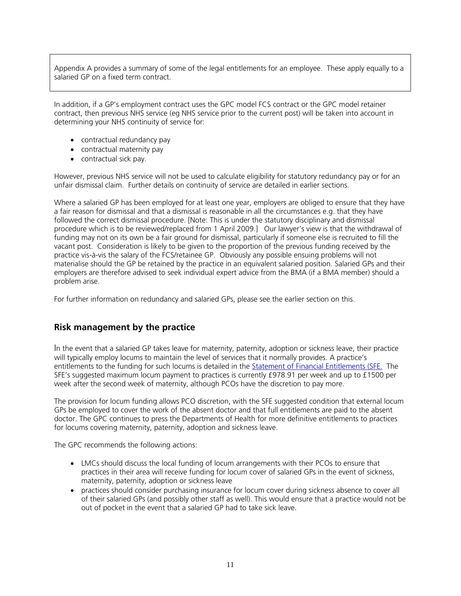Appendix A provides a summary of some of the legal entitlements for an employee. These apply equally to a salaried GP on a fixed term contract.

In addition, if a GP's employment contract uses the GPC model FCS contract or the GPC model retainer contract, then previous NHS service (eg NHS service prior to the current post) will be taken into account in determining your NHS continuity of service for:

- contractual redundancy pay
- contractual maternity pay
- contractual sick pay.

However, previous NHS service will not be used to calculate eligibility for statutory redundancy pay or for an unfair dismissal claim. Further details on continuity of service are detailed in earlier sections.

Where a salaried GP has been employed for at least one year, employers are obliged to ensure that they have a fair reason for dismissal and that a dismissal is reasonable in all the circumstances e.g. that they have followed the correct dismissal procedure. [Note: This is under the statutory disciplinary and dismissal procedure which is to be reviewed/replaced from 1 April 2009.] Our lawyer's view is that the withdrawal of funding may not on its own be a fair ground for dismissal, particularly if someone else is recruited to fill the vacant post. Consideration is likely to be given to the proportion of the previous funding received by the practice vis-à-vis the salary of the FCS/retainee GP. Obviously any possible ensuing problems will not materialise should the GP be retained by the practice in an equivalent salaried position. Salaried GPs and their employers are therefore advised to seek individual expert advice from the BMA (if a BMA member) should a problem arise.

For further information on redundancy and salaried GPs, please see the earlier section on this.

### **Risk management by the practice**

In the event that a salaried GP takes leave for maternity, paternity, adoption or sickness leave, their practice will typically employ locums to maintain the level of services that it normally provides. A practice's entitlements to the funding for such locums is detailed in the [Statement of Financial Entitlements \(SFE.](http://(www.dh.gov.uk/assetRoot/04/06/71/92/04067192.pdf) The SFE's suggested maximum locum payment to practices is currently £978.91 per week and up to £1500 per week after the second week of maternity, although PCOs have the discretion to pay more.

The provision for locum funding allows PCO discretion, with the SFE suggested condition that external locum GPs be employed to cover the work of the absent doctor and that full entitlements are paid to the absent doctor. The GPC continues to press the Departments of Health for more definitive entitlements to practices for locums covering maternity, paternity, adoption and sickness leave.

The GPC recommends the following actions:

- LMCs should discuss the local funding of locum arrangements with their PCOs to ensure that practices in their area will receive funding for locum cover of salaried GPs in the event of sickness, maternity, paternity, adoption or sickness leave
- practices should consider purchasing insurance for locum cover during sickness absence to cover all of their salaried GPs (and possibly other staff as well). This would ensure that a practice would not be out of pocket in the event that a salaried GP had to take sick leave.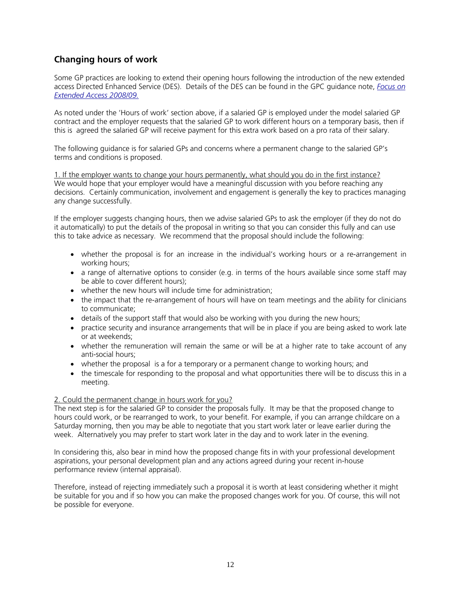# **Changing hours of work**

Some GP practices are looking to extend their opening hours following the introduction of the new extended access Directed Enhanced Service (DES). Details of the DES can be found in the GPC guidance note, *[Focus on](http://www.bma.org.uk/ap.nsf/Content/Focusextendaccess0408)  [Extended Access 2008/09.](http://www.bma.org.uk/ap.nsf/Content/Focusextendaccess0408)*

As noted under the 'Hours of work' section above, if a salaried GP is employed under the model salaried GP contract and the employer requests that the salaried GP to work different hours on a temporary basis, then if this is agreed the salaried GP will receive payment for this extra work based on a pro rata of their salary.

The following guidance is for salaried GPs and concerns where a permanent change to the salaried GP's terms and conditions is proposed.

1. If the employer wants to change your hours permanently, what should you do in the first instance? We would hope that your employer would have a meaningful discussion with you before reaching any decisions. Certainly communication, involvement and engagement is generally the key to practices managing any change successfully.

If the employer suggests changing hours, then we advise salaried GPs to ask the employer (if they do not do it automatically) to put the details of the proposal in writing so that you can consider this fully and can use this to take advice as necessary. We recommend that the proposal should include the following:

- whether the proposal is for an increase in the individual's working hours or a re-arrangement in working hours;
- a range of alternative options to consider (e.g. in terms of the hours available since some staff may be able to cover different hours);
- whether the new hours will include time for administration;
- the impact that the re-arrangement of hours will have on team meetings and the ability for clinicians to communicate;
- details of the support staff that would also be working with you during the new hours;
- practice security and insurance arrangements that will be in place if you are being asked to work late or at weekends;
- whether the remuneration will remain the same or will be at a higher rate to take account of any anti-social hours;
- whether the proposal is a for a temporary or a permanent change to working hours; and
- the timescale for responding to the proposal and what opportunities there will be to discuss this in a meeting.

#### 2. Could the permanent change in hours work for you?

The next step is for the salaried GP to consider the proposals fully. It may be that the proposed change to hours could work, or be rearranged to work, to your benefit. For example, if you can arrange childcare on a Saturday morning, then you may be able to negotiate that you start work later or leave earlier during the week. Alternatively you may prefer to start work later in the day and to work later in the evening.

In considering this, also bear in mind how the proposed change fits in with your professional development aspirations, your personal development plan and any actions agreed during your recent in-house performance review (internal appraisal).

Therefore, instead of rejecting immediately such a proposal it is worth at least considering whether it might be suitable for you and if so how you can make the proposed changes work for you. Of course, this will not be possible for everyone.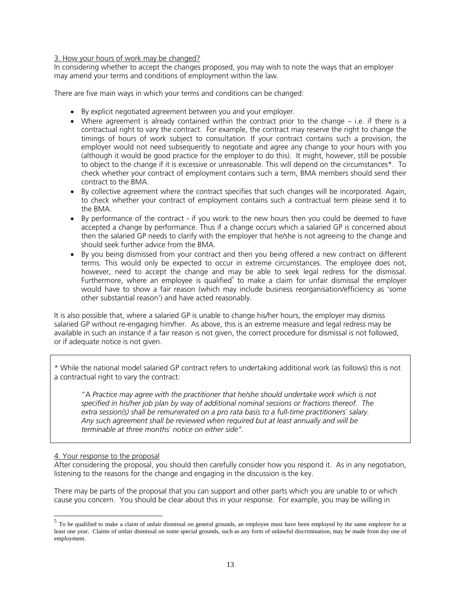#### 3. How your hours of work may be changed?

In considering whether to accept the changes proposed, you may wish to note the ways that an employer may amend your terms and conditions of employment within the law.

There are five main ways in which your terms and conditions can be changed:

- By explicit negotiated agreement between you and your employer.
- Where agreement is already contained within the contract prior to the change i.e. if there is a contractual right to vary the contract. For example, the contract may reserve the right to change the timings of hours of work subject to consultation. If your contract contains such a provision, the employer would not need subsequently to negotiate and agree any change to your hours with you (although it would be good practice for the employer to do this). It might, however, still be possible to object to the change if it is excessive or unreasonable. This will depend on the circumstances\*. To check whether your contract of employment contains such a term, BMA members should send their contract to the BMA.
- By collective agreement where the contract specifies that such changes will be incorporated. Again, to check whether your contract of employment contains such a contractual term please send it to the BMA.
- By performance of the contract if you work to the new hours then you could be deemed to have accepted a change by performance. Thus if a change occurs which a salaried GP is concerned about then the salaried GP needs to clarify with the employer that he/she is not agreeing to the change and should seek further advice from the BMA.
- By you being dismissed from your contract and then you being offered a new contract on different terms. This would only be expected to occur in extreme circumstances. The employee does not, however, need to accept the change and may be able to seek legal redress for the dismissal. Furthermore, where an employee is qualified<sup>5</sup> to make a claim for unfair dismissal the employer would have to show a fair reason (which may include business reorganisation/efficiency as 'some other substantial reason') and have acted reasonably.

It is also possible that, where a salaried GP is unable to change his/her hours, the employer may dismiss salaried GP without re-engaging him/her. As above, this is an extreme measure and legal redress may be available in such an instance if a fair reason is not given, the correct procedure for dismissal is not followed, or if adequate notice is not given.

\* While the national model salaried GP contract refers to undertaking additional work (as follows) this is not a contractual right to vary the contract:

"A *Practice may agree with the practitioner that he/she should undertake work which is not specified in his/her job plan by way of additional nominal sessions or fractions thereof. The extra session(s) shall be remunerated on a pro rata basis to a full-time practitioners` salary. Any such agreement shall be reviewed when required but at least annually and will be terminable at three months` notice on either side".* 

#### 4. Your response to the proposal

After considering the proposal, you should then carefully consider how you respond it. As in any negotiation, listening to the reasons for the change and engaging in the discussion is the key.

There may be parts of the proposal that you can support and other parts which you are unable to or which cause you concern. You should be clear about this in your response. For example, you may be willing in

<span id="page-13-0"></span><sup>&</sup>lt;sup>5</sup> To be qualified to make a claim of unfair dismissal on general grounds, an employee must have been employed by the same employer for at least one year. Claims of unfair dismissal on some special grounds, such as any form of unlawful discrimination, may be made from day one of employment.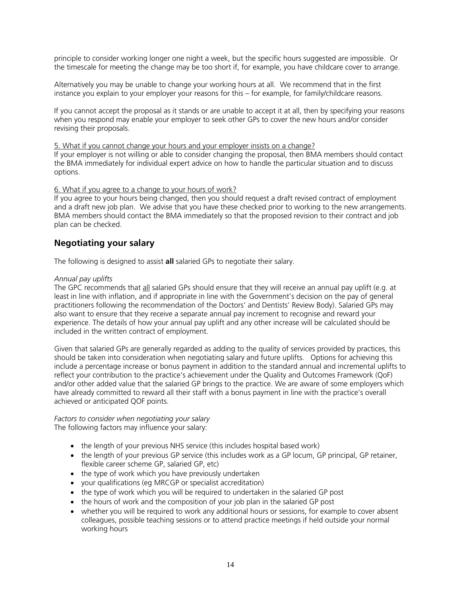principle to consider working longer one night a week, but the specific hours suggested are impossible. Or the timescale for meeting the change may be too short if, for example, you have childcare cover to arrange.

Alternatively you may be unable to change your working hours at all. We recommend that in the first instance you explain to your employer your reasons for this – for example, for family/childcare reasons.

If you cannot accept the proposal as it stands or are unable to accept it at all, then by specifying your reasons when you respond may enable your employer to seek other GPs to cover the new hours and/or consider revising their proposals.

5. What if you cannot change your hours and your employer insists on a change?

If your employer is not willing or able to consider changing the proposal, then BMA members should contact the BMA immediately for individual expert advice on how to handle the particular situation and to discuss options.

#### 6. What if you agree to a change to your hours of work?

If you agree to your hours being changed, then you should request a draft revised contract of employment and a draft new job plan. We advise that you have these checked prior to working to the new arrangements. BMA members should contact the BMA immediately so that the proposed revision to their contract and job plan can be checked.

# **Negotiating your salary**

The following is designed to assist **all** salaried GPs to negotiate their salary.

#### *Annual pay uplifts*

The GPC recommends that all salaried GPs should ensure that they will receive an annual pay uplift (e.g. at least in line with inflation, and if appropriate in line with the Government's decision on the pay of general practitioners following the recommendation of the Doctors' and Dentists' Review Body). Salaried GPs may also want to ensure that they receive a separate annual pay increment to recognise and reward your experience. The details of how your annual pay uplift and any other increase will be calculated should be included in the written contract of employment.

Given that salaried GPs are generally regarded as adding to the quality of services provided by practices, this should be taken into consideration when negotiating salary and future uplifts. Options for achieving this include a percentage increase or bonus payment in addition to the standard annual and incremental uplifts to reflect your contribution to the practice's achievement under the Quality and Outcomes Framework (QoF) and/or other added value that the salaried GP brings to the practice. We are aware of some employers which have already committed to reward all their staff with a bonus payment in line with the practice's overall achieved or anticipated QOF points.

*Factors to consider when negotiating your salary*  The following factors may influence your salary:

- the length of your previous NHS service (this includes hospital based work)
- the length of your previous GP service (this includes work as a GP locum, GP principal, GP retainer, flexible career scheme GP, salaried GP, etc)
- the type of work which you have previously undertaken
- your qualifications (eg MRCGP or specialist accreditation)
- the type of work which you will be required to undertaken in the salaried GP post
- the hours of work and the composition of your job plan in the salaried GP post
- whether you will be required to work any additional hours or sessions, for example to cover absent colleagues, possible teaching sessions or to attend practice meetings if held outside your normal working hours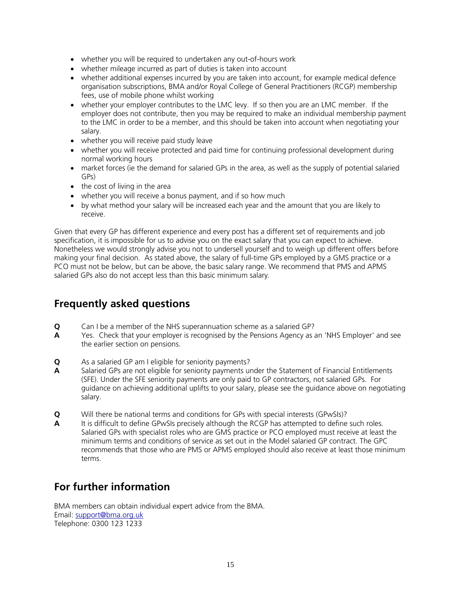- whether you will be required to undertaken any out-of-hours work
- whether mileage incurred as part of duties is taken into account
- whether additional expenses incurred by you are taken into account, for example medical defence organisation subscriptions, BMA and/or Royal College of General Practitioners (RCGP) membership fees, use of mobile phone whilst working
- whether your employer contributes to the LMC levy. If so then you are an LMC member. If the employer does not contribute, then you may be required to make an individual membership payment to the LMC in order to be a member, and this should be taken into account when negotiating your salary.
- whether you will receive paid study leave
- whether you will receive protected and paid time for continuing professional development during normal working hours
- market forces (ie the demand for salaried GPs in the area, as well as the supply of potential salaried GPs)
- the cost of living in the area
- whether you will receive a bonus payment, and if so how much
- by what method your salary will be increased each year and the amount that you are likely to receive.

Given that every GP has different experience and every post has a different set of requirements and job specification, it is impossible for us to advise you on the exact salary that you can expect to achieve. Nonetheless we would strongly advise you not to undersell yourself and to weigh up different offers before making your final decision. As stated above, the salary of full-time GPs employed by a GMS practice or a PCO must not be below, but can be above, the basic salary range. We recommend that PMS and APMS salaried GPs also do not accept less than this basic minimum salary.

# **Frequently asked questions**

- **Q** Can I be a member of the NHS superannuation scheme as a salaried GP?
- **A** Yes. Check that your employer is recognised by the Pensions Agency as an 'NHS Employer' and see the earlier section on pensions.
- **Q** As a salaried GP am I eligible for seniority payments?
- **A** Salaried GPs are not eligible for seniority payments under the Statement of Financial Entitlements (SFE). Under the SFE seniority payments are only paid to GP contractors, not salaried GPs. For guidance on achieving additional uplifts to your salary, please see the guidance above on negotiating salary.
- **Q** Will there be national terms and conditions for GPs with special interests (GPwSIs)?
- **A** It is difficult to define GPwSIs precisely although the RCGP has attempted to define such roles. Salaried GPs with specialist roles who are GMS practice or PCO employed must receive at least the minimum terms and conditions of service as set out in the Model salaried GP contract. The GPC recommends that those who are PMS or APMS employed should also receive at least those minimum terms.

# **For further information**

BMA members can obtain individual expert advice from the BMA. Email: [support@bma.org.uk](mailto:support@bma.org.uk)  Telephone: 0300 123 1233